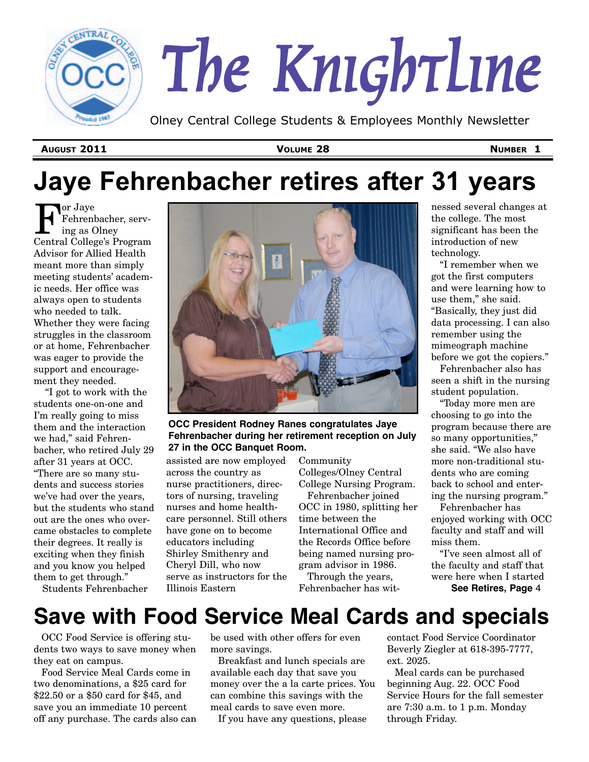

# *The Knightline*

Olney Central College Students & Employees Monthly Newsletter

**AUGUST 2011 VOLUME 28 NUMBER 1**

# **Jaye Fehrenbacher retires after 31 years**

or Jaye Fehrenbacher, serving as Olney Central College's Program Advisor for Allied Health meant more than simply meeting students' academic needs. Her office was always open to students who needed to talk. Whether they were facing struggles in the classroom or at home, Fehrenbacher was eager to provide the support and encouragement they needed.

"I got to work with the students one-on-one and I'm really going to miss them and the interaction we had," said Fehrenbacher, who retired July 29 after 31 years at OCC. "There are so many students and success stories we've had over the years, but the students who stand out are the ones who overcame obstacles to complete their degrees. It really is exciting when they finish and you know you helped them to get through."

**OCC President Rodney Ranes congratulates Jaye Fehrenbacher during her retirement reception on July 27 in the OCC Banquet Room.**

assisted are now employed across the country as nurse practitioners, directors of nursing, traveling nurses and home healthcare personnel. Still others have gone on to become educators including Shirley Smithenry and Cheryl Dill, who now serve as instructors for the Illinois Eastern

Community Colleges/Olney Central College Nursing Program.

Fehrenbacher joined OCC in 1980, splitting her time between the International Office and the Records Office before being named nursing program advisor in 1986.

Through the years, Fehrenbacher has witnessed several changes at the college. The most significant has been the introduction of new technology.

"I remember when we got the first computers and were learning how to use them," she said. "Basically, they just did data processing. I can also remember using the mimeograph machine before we got the copiers."

Fehrenbacher also has seen a shift in the nursing student population.

"Today more men are choosing to go into the program because there are so many opportunities," she said. "We also have more non-traditional students who are coming back to school and entering the nursing program."

Fehrenbacher has enjoyed working with OCC faculty and staff and will miss them.

"I've seen almost all of the faculty and staff that were here when I started **See Retires, Page** 4

Students Fehrenbacher

# **Save with Food Service Meal Cards and specials**

OCC Food Service is offering students two ways to save money when they eat on campus.

Food Service Meal Cards come in two denominations, a \$25 card for \$22.50 or a \$50 card for \$45, and save you an immediate 10 percent off any purchase. The cards also can

be used with other offers for even more savings.

Breakfast and lunch specials are available each day that save you money over the a la carte prices. You can combine this savings with the meal cards to save even more.

If you have any questions, please

contact Food Service Coordinator Beverly Ziegler at 618-395-7777, ext. 2025.

Meal cards can be purchased beginning Aug. 22. OCC Food Service Hours for the fall semester are 7:30 a.m. to 1 p.m. Monday through Friday.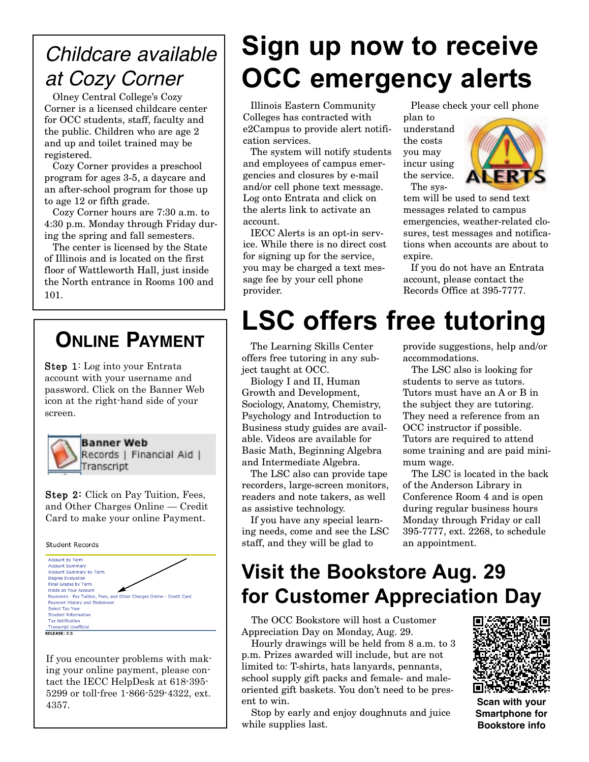# *Childcare available at Cozy Corner*

Olney Central College's Cozy Corner is a licensed childcare center for OCC students, staff, faculty and the public. Children who are age 2 and up and toilet trained may be registered.

Cozy Corner provides a preschool program for ages 3-5, a daycare and an after-school program for those up to age 12 or fifth grade.

Cozy Corner hours are 7:30 a.m. to 4:30 p.m. Monday through Friday during the spring and fall semesters.

The center is licensed by the State of Illinois and is located on the first floor of Wattleworth Hall, just inside the North entrance in Rooms 100 and 101.

## **ONLINE PAYMENT**

Step 1: Log into your Entrata account with your username and password. Click on the Banner Web icon at the right-hand side of your screen.



**Banner Web** Records | Financial Aid | Transcript

Step 2: Click on Pay Tuition, Fees, and Other Charges Online — Credit Card to make your online Payment.

Student Records



If you encounter problems with making your online payment, please contact the IECC HelpDesk at 618-395- 5299 or toll-free 1-866-529-4322, ext. 4357.

# **Sign up now to receive OCC emergency alerts**

Illinois Eastern Community Colleges has contracted with e2Campus to provide alert notification services.

The system will notify students and employees of campus emergencies and closures by e-mail and/or cell phone text message. Log onto Entrata and click on the alerts link to activate an account.

IECC Alerts is an opt-in service. While there is no direct cost for signing up for the service, you may be charged a text message fee by your cell phone provider.

Please check your cell phone

plan to understand the costs you may incur using the service. The sys-



tem will be used to send text messages related to campus emergencies, weather-related closures, test messages and notifications when accounts are about to expire.

If you do not have an Entrata account, please contact the Records Office at 395-7777.

# **LSC offers free tutoring**

The Learning Skills Center offers free tutoring in any subject taught at OCC.

Biology I and II, Human Growth and Development, Sociology, Anatomy, Chemistry, Psychology and Introduction to Business study guides are available. Videos are available for Basic Math, Beginning Algebra and Intermediate Algebra.

The LSC also can provide tape recorders, large-screen monitors, readers and note takers, as well as assistive technology.

If you have any special learning needs, come and see the LSC staff, and they will be glad to

provide suggestions, help and/or accommodations.

The LSC also is looking for students to serve as tutors. Tutors must have an A or B in the subject they are tutoring. They need a reference from an OCC instructor if possible. Tutors are required to attend some training and are paid minimum wage.

The LSC is located in the back of the Anderson Library in Conference Room 4 and is open during regular business hours Monday through Friday or call 395-7777, ext. 2268, to schedule an appointment.

### **Visit the Bookstore Aug. 29 for Customer Appreciation Day**

The OCC Bookstore will host a Customer Appreciation Day on Monday, Aug. 29.

Hourly drawings will be held from 8 a.m. to 3 p.m. Prizes awarded will include, but are not limited to: T-shirts, hats lanyards, pennants, school supply gift packs and female- and maleoriented gift baskets. You don't need to be present to win.

Stop by early and enjoy doughnuts and juice while supplies last.



**Scan with your Smartphone for Bookstore info**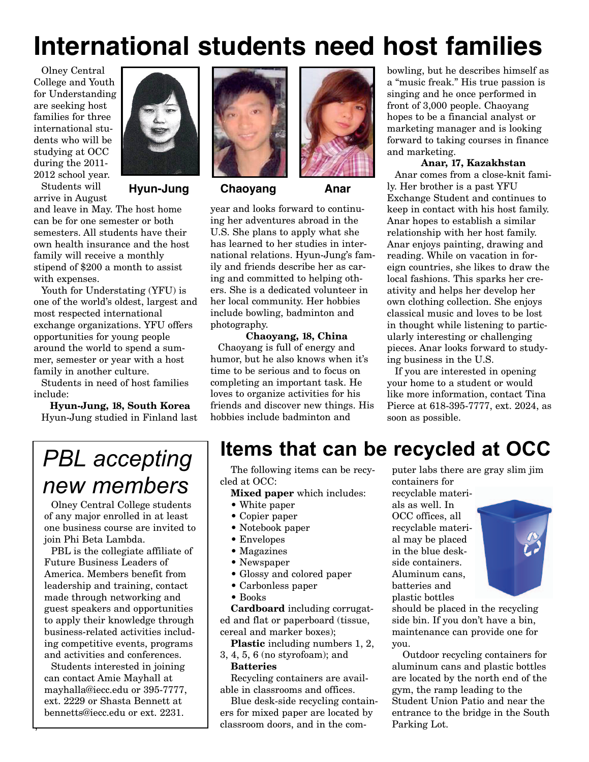# **International students need host families**

Olney Central College and Youth for Understanding are seeking host families for three international students who will be studying at OCC during the 2011- 2012 school year.

Students will arrive in August

and leave in May. The host home can be for one semester or both semesters. All students have their own health insurance and the host family will receive a monthly stipend of \$200 a month to assist with expenses.

Youth for Understating (YFU) is one of the world's oldest, largest and most respected international exchange organizations. YFU offers opportunities for young people around the world to spend a summer, semester or year with a host family in another culture.

Students in need of host families include:

**Hyun-Jung, 18, South Korea** Hyun-Jung studied in Finland last



**Hyun-Jung Chaoyang Anar**



year and looks forward to continuing her adventures abroad in the U.S. She plans to apply what she has learned to her studies in international relations. Hyun-Jung's family and friends describe her as caring and committed to helping others. She is a dedicated volunteer in her local community. Her hobbies include bowling, badminton and photography.

**Chaoyang, 18, China** Chaoyang is full of energy and humor, but he also knows when it's time to be serious and to focus on completing an important task. He loves to organize activities for his friends and discover new things. His hobbies include badminton and

bowling, but he describes himself as a "music freak." His true passion is singing and he once performed in front of 3,000 people. Chaoyang hopes to be a financial analyst or marketing manager and is looking forward to taking courses in finance and marketing.

#### **Anar, 17, Kazakhstan**

Anar comes from a close-knit family. Her brother is a past YFU Exchange Student and continues to keep in contact with his host family. Anar hopes to establish a similar relationship with her host family. Anar enjoys painting, drawing and reading. While on vacation in foreign countries, she likes to draw the local fashions. This sparks her creativity and helps her develop her own clothing collection. She enjoys classical music and loves to be lost in thought while listening to particularly interesting or challenging pieces. Anar looks forward to studying business in the U.S.

If you are interested in opening your home to a student or would like more information, contact Tina Pierce at 618-395-7777, ext. 2024, as soon as possible.

# *PBL accepting new members*

Olney Central College students of any major enrolled in at least one business course are invited to join Phi Beta Lambda.

PBL is the collegiate affiliate of Future Business Leaders of America. Members benefit from leadership and training, contact made through networking and guest speakers and opportunities to apply their knowledge through business-related activities including competitive events, programs and activities and conferences.

Students interested in joining can contact Amie Mayhall at mayhalla@iecc.edu or 395-7777, ext. 2229 or Shasta Bennett at bennetts@iecc.edu or ext. 2231.

,

### **Items that can be recycled at OCC**

The following items can be recycled at OCC:

- **Mixed paper** which includes:
- White paper
- Copier paper
- Notebook paper
- Envelopes
- Magazines
- Newspaper
- Glossy and colored paper
- Carbonless paper
- Books

**Cardboard** including corrugated and flat or paperboard (tissue, cereal and marker boxes);

**Plastic** including numbers 1, 2,

3, 4, 5, 6 (no styrofoam); and **Batteries**

Recycling containers are available in classrooms and offices.

Blue desk-side recycling containers for mixed paper are located by classroom doors, and in the com-

puter labs there are gray slim jim containers for

recyclable materials as well. In OCC offices, all recyclable material may be placed in the blue deskside containers. Aluminum cans, batteries and plastic bottles



should be placed in the recycling side bin. If you don't have a bin, maintenance can provide one for you.

Outdoor recycling containers for aluminum cans and plastic bottles are located by the north end of the gym, the ramp leading to the Student Union Patio and near the entrance to the bridge in the South Parking Lot.